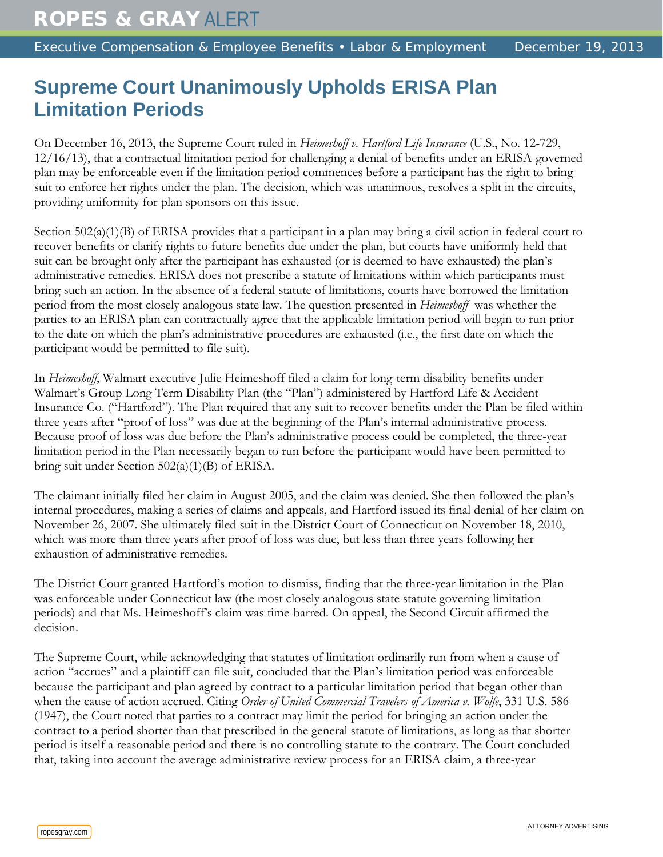## **Supreme Court Unanimously Upholds ERISA Plan Limitation Periods**

On December 16, 2013, the Supreme Court ruled in *Heimeshoff v. Hartford Life Insurance* (U.S., No. 12-729, 12/16/13), that a contractual limitation period for challenging a denial of benefits under an ERISA-governed plan may be enforceable even if the limitation period commences before a participant has the right to bring suit to enforce her rights under the plan. The decision, which was unanimous, resolves a split in the circuits, providing uniformity for plan sponsors on this issue.

Section 502(a)(1)(B) of ERISA provides that a participant in a plan may bring a civil action in federal court to recover benefits or clarify rights to future benefits due under the plan, but courts have uniformly held that suit can be brought only after the participant has exhausted (or is deemed to have exhausted) the plan's administrative remedies. ERISA does not prescribe a statute of limitations within which participants must bring such an action. In the absence of a federal statute of limitations, courts have borrowed the limitation period from the most closely analogous state law. The question presented in *Heimeshoff* was whether the parties to an ERISA plan can contractually agree that the applicable limitation period will begin to run prior to the date on which the plan's administrative procedures are exhausted (i.e., the first date on which the participant would be permitted to file suit).

In *Heimeshoff*, Walmart executive Julie Heimeshoff filed a claim for long-term disability benefits under Walmart's Group Long Term Disability Plan (the "Plan") administered by Hartford Life & Accident Insurance Co. ("Hartford"). The Plan required that any suit to recover benefits under the Plan be filed within three years after "proof of loss" was due at the beginning of the Plan's internal administrative process. Because proof of loss was due before the Plan's administrative process could be completed, the three-year limitation period in the Plan necessarily began to run before the participant would have been permitted to bring suit under Section 502(a)(1)(B) of ERISA.

The claimant initially filed her claim in August 2005, and the claim was denied. She then followed the plan's internal procedures, making a series of claims and appeals, and Hartford issued its final denial of her claim on November 26, 2007. She ultimately filed suit in the District Court of Connecticut on November 18, 2010, which was more than three years after proof of loss was due, but less than three years following her exhaustion of administrative remedies.

The District Court granted Hartford's motion to dismiss, finding that the three-year limitation in the Plan was enforceable under Connecticut law (the most closely analogous state statute governing limitation periods) and that Ms. Heimeshoff's claim was time-barred. On appeal, the Second Circuit affirmed the decision.

The Supreme Court, while acknowledging that statutes of limitation ordinarily run from when a cause of action "accrues" and a plaintiff can file suit, concluded that the Plan's limitation period was enforceable because the participant and plan agreed by contract to a particular limitation period that began other than when the cause of action accrued. Citing *Order of United Commercial Travelers of America v. Wolfe*, 331 U.S. 586 (1947), the Court noted that parties to a contract may limit the period for bringing an action under the contract to a period shorter than that prescribed in the general statute of limitations, as long as that shorter period is itself a reasonable period and there is no controlling statute to the contrary. The Court concluded that, taking into account the average administrative review process for an ERISA claim, a three-year